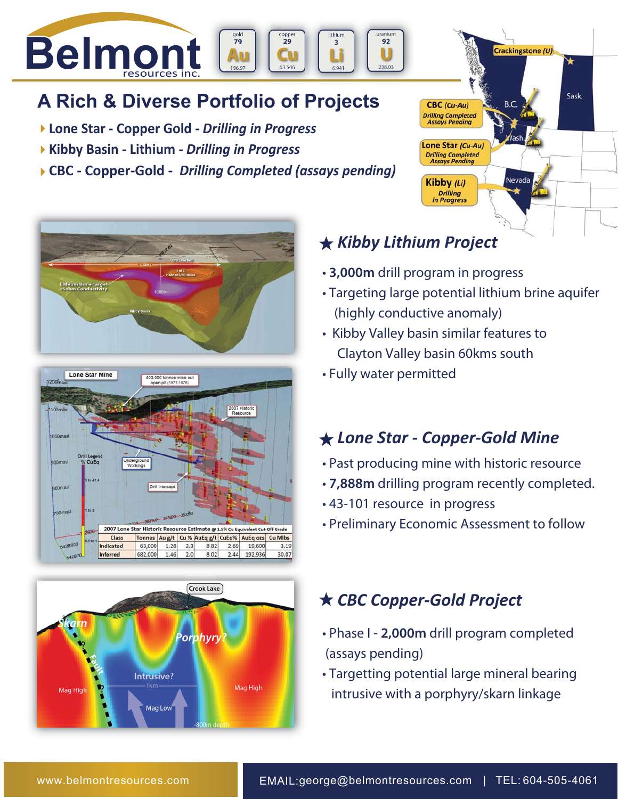

# **A Rich & Diverse Portfolio of Projects**

- **Lone Star Copper Gold** *Drilling in Progress*
- **Kibby Basin Lithium** *Drilling in Progress*
- **CBC Copper-Gold** *Drilling Completed (assays pending)*







# **★ Kibby Lithium Project**

- **3,000m** drill program in progress
- Targeting large potential lithium brine aquifer (highly conductive anomaly)

**CBC** (Cu-Au) **Drilling Completed<br>Assays Pending** 

Lone Star (Cu-Au) **Drilling Completed<br>Assays Pending** 

Kibby (Li) **Drilling** in Progress Crackingstone (U)

B.C

Nevada

Sask.

- Kibby Valley basin similar features to Clayton Valley basin 60kms south
- Fully water permitted

### *Lone Star - Copper-Gold Mine*

- Past producing mine with historic resource
- **7,888m** drilling program recently completed.
- 43-101 resource in progress
- Preliminary Economic Assessment to follow

### *CBC Copper-Gold Project*

- Phase I **2,000m** drill program completed (assays pending)
- Targetting potential large mineral bearing intrusive with a porphyry/skarn linkage